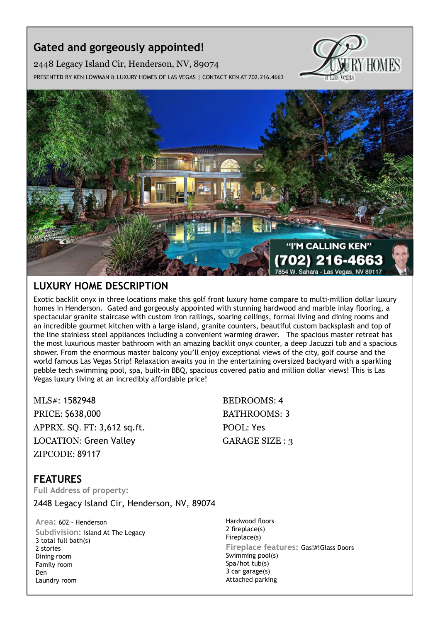## **Gated and gorgeously appointed!**

2448 Legacy Island Cir, Henderson, NV, 89074

Presented by Ken Lowman & Luxury Homes of Las Vegas | Contact Ken at 702.216.4663





## **Luxury Home description**

Exotic backlit onyx in three locations make this golf front luxury home compare to multi-million dollar luxury homes in Henderson. Gated and gorgeously appointed with stunning hardwood and marble inlay flooring, a spectacular granite staircase with custom iron railings, soaring ceilings, formal living and dining rooms and an incredible gourmet kitchen with a large island, granite counters, beautiful custom backsplash and top of the line stainless steel appliances including a convenient warming drawer. The spacious master retreat has the most luxurious master bathroom with an amazing backlit onyx counter, a deep Jacuzzi tub and a spacious shower. From the enormous master balcony you'll enjoy exceptional views of the city, golf course and the world famous Las Vegas Strip! Relaxation awaits you in the entertaining oversized backyard with a sparkling pebble tech swimming pool, spa, built-in BBQ, spacious covered patio and million dollar views! This is Las Vegas luxury living at an incredibly affordable price!

MLS#: 1582948 BEDROOMS: 4 PRICE: \$638,000 BATHROOMS: 3 APPRX. SQ. FT: 3,612 sq.ft. POOL: Yes LOCATION: Green Valley GARAGE SIZE : 3 ZIPCODE: 89117

## **features**

**Full Address of property:** 2448 Legacy Island Cir, Henderson, NV, 89074

**Area:** 602 - Henderson **Subdivision:** Island At The Legacy 3 total full bath(s) 2 stories Dining room Family room Den Laundry room

Hardwood floors 2 fireplace(s) Fireplace(s) **Fireplace features:** Gas!#!Glass Doors Swimming pool(s) Spa/hot tub(s) 3 car garage(s) Attached parking